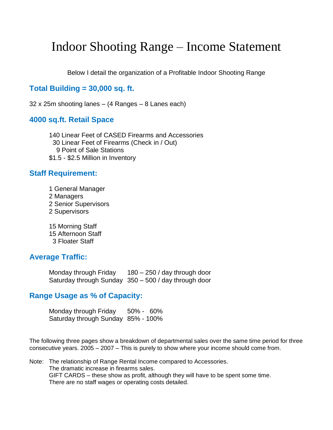# Indoor Shooting Range – Income Statement

Below I detail the organization of a Profitable Indoor Shooting Range

### **Total Building = 30,000 sq. ft.**

32 x 25m shooting lanes – (4 Ranges – 8 Lanes each)

#### **4000 sq.ft. Retail Space**

140 Linear Feet of CASED Firearms and Accessories 30 Linear Feet of Firearms (Check in / Out) 9 Point of Sale Stations \$1.5 - \$2.5 Million in Inventory

#### **Staff Requirement:**

- 1 General Manager
- 2 Managers
- 2 Senior Supervisors
- 2 Supervisors

15 Morning Staff 15 Afternoon Staff 3 Floater Staff

#### **Average Traffic:**

Monday through Friday 180 – 250 / day through door Saturday through Sunday 350 – 500 / day through door

#### **Range Usage as % of Capacity:**

Monday through Friday 50% - 60% Saturday through Sunday 85% - 100%

The following three pages show a breakdown of departmental sales over the same time period for three consecutive years. 2005 – 2007 – This is purely to show where your income should come from.

Note: The relationship of Range Rental Income compared to Accessories. The dramatic increase in firearms sales. GIFT CARDS – these show as profit, although they will have to be spent some time. There are no staff wages or operating costs detailed.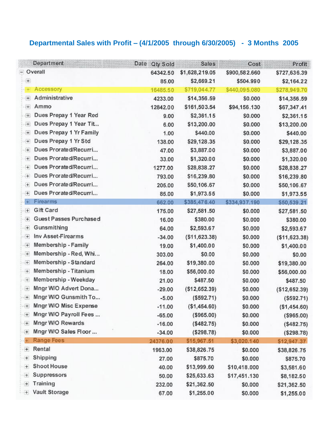## **Departmental Sales with Profit – (4/1/2005 through 6/30/2005) - 3 Months 2005**

|                                                             | Department              | Date Qty Sold | <b>Sales</b>    | Cost          | Profit          |
|-------------------------------------------------------------|-------------------------|---------------|-----------------|---------------|-----------------|
|                                                             | - Overall               | 64342.50      | \$1,628,219.05  | \$900,582.660 | \$727,636.39    |
| $^{(+)}$                                                    |                         | 85.00         | \$2,669.21      | \$504.990     | \$2,164.22      |
| ÷                                                           | Accessory               | 16485.50      | \$719,044.77    | \$440,095.080 | \$278,949.70    |
| $\pm$                                                       | Administrative          | 4233.00       | \$14,356.59     | \$0.000       | \$14,356.59     |
| $+$                                                         | Ammo                    | 12842.00      | \$161,503.54    | \$94,156.130  | \$67,347.41     |
| 田                                                           | Dues Prepay 1 Year Red  | 9.00          | \$2,361.15      | \$0.000       | \$2,361.15      |
| $^{(+)}$                                                    | Dues Prepay 1 Year Tit  | 6.00          | \$13,200.00     | \$0.000       | \$13,200.00     |
| ④                                                           | Dues Prepay 1 Yr Family | 1.00          | \$440.00        | \$0.000       | \$440.00        |
| $\left( +\right)$                                           | Dues Prepay 1 Yr Std    | 138.00        | \$29,128.35     | \$0.000       | \$29,128.35     |
| $^{(+)}$                                                    | Dues Prorated/Recurri   | 47.00         | \$3,887.00      | \$0.000       | \$3,887.00      |
| $+$                                                         | Dues Prorated/Recurri   | 33.00         | \$1,320.00      | \$0.000       | \$1,320.00      |
| $+$                                                         | Dues Prorated/Recurri   | 1277.00       | \$28,838.27     | \$0.000       | \$28,838.27     |
| $+$                                                         | Dues Prorated/Recurri   | 793.00        | \$16,239.80     | \$0.000       | \$16,239.80     |
| 田                                                           | Dues Prorated/Recurri   | 205.00        | \$50,106.67     | \$0.000       | \$50,106.67     |
| $\begin{array}{c} \begin{array}{c} \end{array} \end{array}$ | Dues Prorated/Recurri   | 85.00         | \$1,973.55      | \$0.000       | \$1,973.55      |
| $+$                                                         | Firearms                | 662.00        | \$385,476.40    | \$334,937.190 | \$50,539.21     |
| $\left  \cdot \right $                                      | Gift Card               | 175.00        | \$27,581.50     | \$0.000       | \$27,581.50     |
| $+$                                                         | Guest Passes Purchased  | 16.00         | \$380.00        | \$0.000       | \$380.00        |
| $\begin{array}{c} \hline \end{array}$                       | Gunsmithing             | 64.00         | \$2,593.67      | \$0.000       | \$2,593.67      |
| 田                                                           | Inv Asset-Firearms      | $-34.00$      | ( \$11, 623.38) | \$0.000       | ( \$11, 623.38) |
| $+$                                                         | Membership - Family     | 19.00         | \$1,400.00      | \$0.000       | \$1,400.00      |
| $+$                                                         | Membership - Red, Whi   | 303.00        | \$0.00          | \$0.000       | \$0.00          |
| $\pm$                                                       | Membership - Standard   | 264.00        | \$19,380.00     | \$0.000       | \$19,380.00     |
| $[+]$                                                       | Membership - Titanium   | 18.00         | \$56,000.00     | \$0.000       | \$56,000.00     |
| 王                                                           | Membership - Weekday    | 21.00         | \$487.50        | \$0.000       | \$487.50        |
| $+$                                                         | Mngr W/O Advert Dona    | $-29.00$      | ( \$12,652.39)  | \$0.000       | (\$12,652.39)   |
| $\begin{array}{c} \end{array}$                              | Mngr W/O Gunsmith To    | $-5.00$       | (\$592.71)      | \$0.000       | ( \$592.71)     |
| Œ.                                                          | Mngr W/O Misc Expense   | $-11.00$      | (\$1,454.60)    | \$0.000       | (\$1,454.60)    |
| 田                                                           | Mngr W/O Payroll Fees   | $-65.00$      | (\$965.00)      | \$0.000       | (\$965.00)      |
| t                                                           | Mngr W/O Rewards        | $-16.00$      | (\$482.75)      | \$0.000       | ( \$482.75)     |
| 任                                                           | Mngr W/O Sales Floor    | $-34.00$      | ( \$298.78)     | \$0.000       | ( \$298.78)     |
| $+$                                                         | Range Fees              | 24376.00      | \$15,967.51     | \$3,020.140   | \$12,947.37     |
| $+$                                                         | Rental                  | 1963.00       | \$38,826.75     | \$0.000       | \$38,826.75     |
| $\pm$                                                       | Shipping                | 27.00         | \$875.70        | \$0.000       | \$875.70        |
| $^+$                                                        | Shoot House             | 40.00         | \$13,999.60     | \$10,418.000  | \$3,581.60      |
| $+$                                                         | Suppressors             | 50.00         | \$25,633.63     | \$17,451.130  | \$8,182.50      |
| $+$                                                         | Training                | 232.00        | \$21,362.50     | \$0.000       | \$21,362.50     |
|                                                             | Vault Storage           | 67.00         | \$1,255.00      | \$0.000       | \$1,255.00      |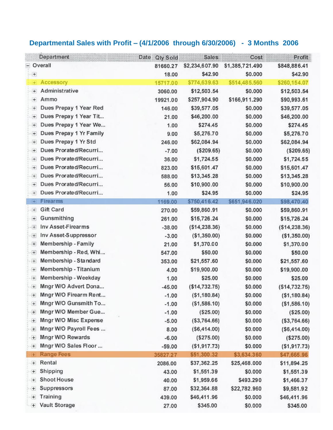## **Departmental Sales with Profit – (4/1/2006 through 6/30/2006) - 3 Months 2006**

|                                  | Department              | Date<br>Qty Sold | <b>Sales</b>    | Cost            | Profit         |
|----------------------------------|-------------------------|------------------|-----------------|-----------------|----------------|
|                                  | - Overall               | 81660.27         | \$2,234,607.90  | \$1,385,721.490 | \$848,886.41   |
| $+$                              |                         | 18.00            | \$42.90         | \$0.000         | \$42.90        |
| ÷.                               | Accessory               | 15717.00         | \$774,639.63    | \$514,485.560   | \$260,154.07   |
| $^{+}$                           | Administrative          | 3060.00          | \$12,503.54     | \$0.000         | \$12,503.54    |
| $\begin{array}{c} + \end{array}$ | Ammo                    | 19921.00         | \$257,904.90    | \$166,911.290   | \$90,993.61    |
| $+$                              | Dues Prepay 1 Year Red  | 146.00           | \$39,577.05     | \$0.000         | \$39,577.05    |
| $+$                              | Dues Prepay 1 Year Tit  | 21.00            | \$46,200.00     | \$0.000         | \$46,200.00    |
| $\begin{array}{c} + \end{array}$ | Dues Prepay 1 Year We   | 1.00             | \$274.45        | \$0.000         | \$274.45       |
| $+$                              | Dues Prepay 1 Yr Family | 9.00             | \$5,276.70      | \$0.000         | \$5,276.70     |
| $+$                              | Dues Prepay 1 Yr Std    | 246.00           | \$62,084.94     | \$0.000         | \$62,084.94    |
| $+$                              | Dues Prorated/Recurri   | $-7.00$          | ( \$209.65)     | \$0.000         | ( \$209.65)    |
| $[+]$                            | Dues Prorated/Recurri   | 36.00            | \$1,724.55      | \$0.000         | \$1,724.55     |
| $+$                              | Dues Prorated/Recurri   | 823.00           | \$15,601.47     | \$0.000         | \$15,601.47    |
| $+$                              | Dues Prorated/Recurri   | 588.00           | \$13,345.28     | \$0.000         | \$13,345.28    |
| $+$                              | Dues Prorated/Recurri   | 56.00            | \$10,900.00     | \$0.000         | \$10,900.00    |
| $\begin{matrix} + \end{matrix}$  | Dues Prorated/Recurri   | 1.00             | \$24.95         | \$0.000         | \$24.95        |
| $+$                              | <b>Firearms</b>         | 1169.00          | \$750,416.42    | \$651,946.020   | \$98,470.40    |
| 田                                | Gift Card               | 270.00           | \$59,860.91     | \$0.000         | \$59,860.91    |
| $\begin{matrix} + \end{matrix}$  | Gunsmithing             | 261.00           | \$15,726.24     | \$0.000         | \$15,726.24    |
| 任                                | Inv Asset-Firearms      | $-38.00$         | ( \$14, 238.36) | \$0.000         | (\$14,238.36)  |
| 田                                | Inv Asset-Suppressor    | $-3.00$          | (\$1,350.00)    | \$0.000         | (\$1,350.00)   |
| $+$                              | Membership - Family     | 21.00            | \$1,370.00      | \$0.000         | \$1,370.00     |
| $^{(+)}$                         | Membership - Red, Whi   | 547.00           | \$50.00         | \$0.000         | \$50.00        |
| 田                                | Membership - Standard   | 353.00           | \$21,557.60     | \$0.000         | \$21,557.60    |
| $+$                              | Membership - Titanium   | 4.00             | \$19,900.00     | \$0.000         | \$19,900.00    |
| $+$                              | Membership - Weekday    | 1.00             | \$25.00         | \$0.000         | \$25.00        |
| $+$                              | Mngr W/O Advert Dona    | $-45.00$         | (\$14,732.75)   | \$0.000         | (\$14,732.75)  |
| 4                                | Mngr W/O Firearm Rent   | $-1.00$          | ( \$1,180.84)   | \$0.000         | (\$1,180.84)   |
| $+$                              | Mngr W/O Gunsmith To    | $-1.00$          | (\$1,586.10)    | \$0.000         | ( \$1,586.10)  |
| Œ                                | Mngr W/O Member Gue     | $-1.00$          | (\$25.00)       | \$0.000         | (\$25.00)      |
| $+$                              | Mngr W/O Misc Expense   | $-5.00$          | ( \$3,764.66)   | \$0.000         | ( \$3,764.66)  |
| $+$                              | Mngr W/O Payroll Fees   | 8.00             | (\$6,414.00)    | \$0.000         | (\$6,414.00)   |
| Œ                                | Mngr W/O Rewards        | $-6.00$          | (S275.00)       | \$0.000         | (\$275.00)     |
| $+$                              | Mngr W/O Sales Floor    | $-59.00$         | (\$1,917.73)    | \$0.000         | ( \$1, 917.73) |
| $+$                              | <b>Range Fees</b>       | 35827.27         | \$51,300.32     | \$3,634.360     | \$47,665.96    |
| $\pm$                            | Rental                  | 2086.00          | \$37,362.25     | \$25,468.000    | \$11,894.25    |
| 土                                | Shipping                | 43.00            | \$1,551.39      | \$0.000         | \$1,551.39     |
| $+$                              | Shoot House             | 40.00            | \$1,959.66      | \$493.290       | \$1,466.37     |
| $\pm$                            | Suppressors             | 87.00            | \$32,364.88     | \$22,782.960    | \$9,581.92     |
| $+$                              | Training                | 439.00           | \$46,411.96     | \$0.000         | \$46,411.96    |
| $+$                              | Vault Storage           | 27.00            | \$345.00        | \$0.000         | \$345.00       |